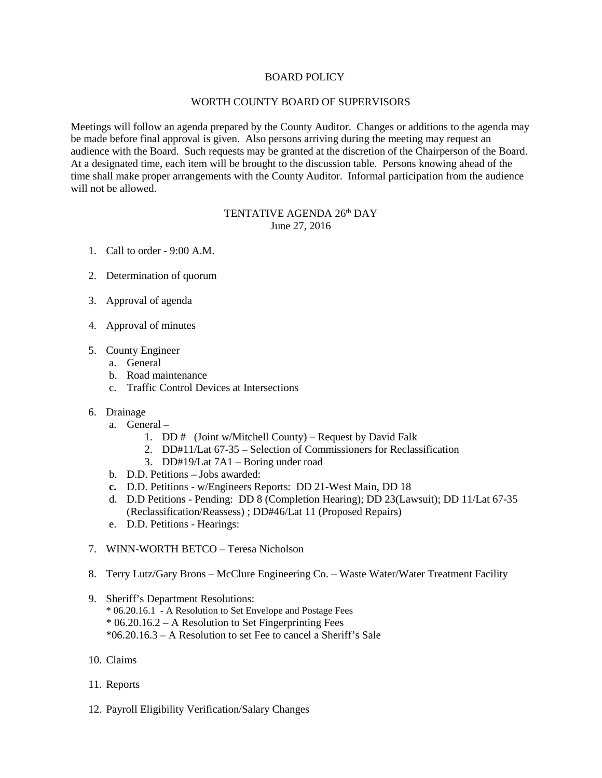## BOARD POLICY

## WORTH COUNTY BOARD OF SUPERVISORS

Meetings will follow an agenda prepared by the County Auditor. Changes or additions to the agenda may be made before final approval is given. Also persons arriving during the meeting may request an audience with the Board. Such requests may be granted at the discretion of the Chairperson of the Board. At a designated time, each item will be brought to the discussion table. Persons knowing ahead of the time shall make proper arrangements with the County Auditor. Informal participation from the audience will not be allowed.

## TENTATIVE AGENDA 26th DAY June 27, 2016

- 1. Call to order 9:00 A.M.
- 2. Determination of quorum
- 3. Approval of agenda
- 4. Approval of minutes
- 5. County Engineer
	- a. General
	- b. Road maintenance
	- c. Traffic Control Devices at Intersections
- 6. Drainage
	- a. General
		- 1. DD  $#$  (Joint w/Mitchell County) Request by David Falk
		- 2. DD#11/Lat 67-35 Selection of Commissioners for Reclassification
		- 3. DD#19/Lat 7A1 Boring under road
	- b. D.D. Petitions Jobs awarded:
	- **c.** D.D. Petitions w/Engineers Reports: DD 21-West Main, DD 18
	- d. D.D Petitions Pending: DD 8 (Completion Hearing); DD 23(Lawsuit); DD 11/Lat 67-35 (Reclassification/Reassess) ; DD#46/Lat 11 (Proposed Repairs)
	- e. D.D. Petitions Hearings:
- 7. WINN-WORTH BETCO Teresa Nicholson
- 8. Terry Lutz/Gary Brons McClure Engineering Co. Waste Water/Water Treatment Facility
- 9. Sheriff's Department Resolutions:
	- \* 06.20.16.1 A Resolution to Set Envelope and Postage Fees
	- $*$  06.20.16.2 A Resolution to Set Fingerprinting Fees
	- \*06.20.16.3 A Resolution to set Fee to cancel a Sheriff's Sale
- 10. Claims
- 11. Reports
- 12. Payroll Eligibility Verification/Salary Changes